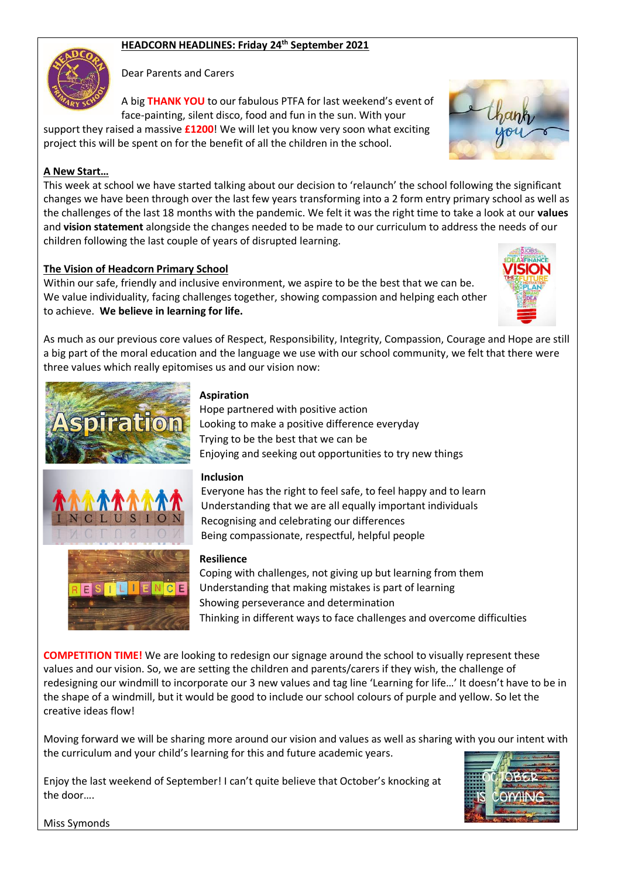# **HEADCORN HEADLINES: Friday 24th September 2021**

Dear Parents and Carers

A big **THANK YOU** to our fabulous PTFA for last weekend's event of face-painting, silent disco, food and fun in the sun. With your

support they raised a massive **£1200**! We will let you know very soon what exciting project this will be spent on for the benefit of all the children in the school.

# **A New Start…**

This week at school we have started talking about our decision to 'relaunch' the school following the significant changes we have been through over the last few years transforming into a 2 form entry primary school as well as the challenges of the last 18 months with the pandemic. We felt it was the right time to take a look at our **values** and **vision statement** alongside the changes needed to be made to our curriculum to address the needs of our children following the last couple of years of disrupted learning.

# **The Vision of Headcorn Primary School**

Within our safe, friendly and inclusive environment, we aspire to be the best that we can be. We value individuality, facing challenges together, showing compassion and helping each other to achieve. **We believe in learning for life.**



# **Aspiration**

Hope partnered with positive action Looking to make a positive difference everyday Trying to be the best that we can be Enjoying and seeking out opportunities to try new things

## **Inclusion**

Everyone has the right to feel safe, to feel happy and to learn Understanding that we are all equally important individuals Recognising and celebrating our differences Being compassionate, respectful, helpful people

### **Resilience**

Coping with challenges, not giving up but learning from them Understanding that making mistakes is part of learning Showing perseverance and determination Thinking in different ways to face challenges and overcome difficulties

**COMPETITION TIME!** We are looking to redesign our signage around the school to visually represent these values and our vision. So, we are setting the children and parents/carers if they wish, the challenge of redesigning our windmill to incorporate our 3 new values and tag line 'Learning for life…' It doesn't have to be in the shape of a windmill, but it would be good to include our school colours of purple and yellow. So let the creative ideas flow!

Moving forward we will be sharing more around our vision and values as well as sharing with you our intent with the curriculum and your child's learning for this and future academic years.

Enjoy the last weekend of September! I can't quite believe that October's knocking at the door….



Miss Symonds



TH

 $F$